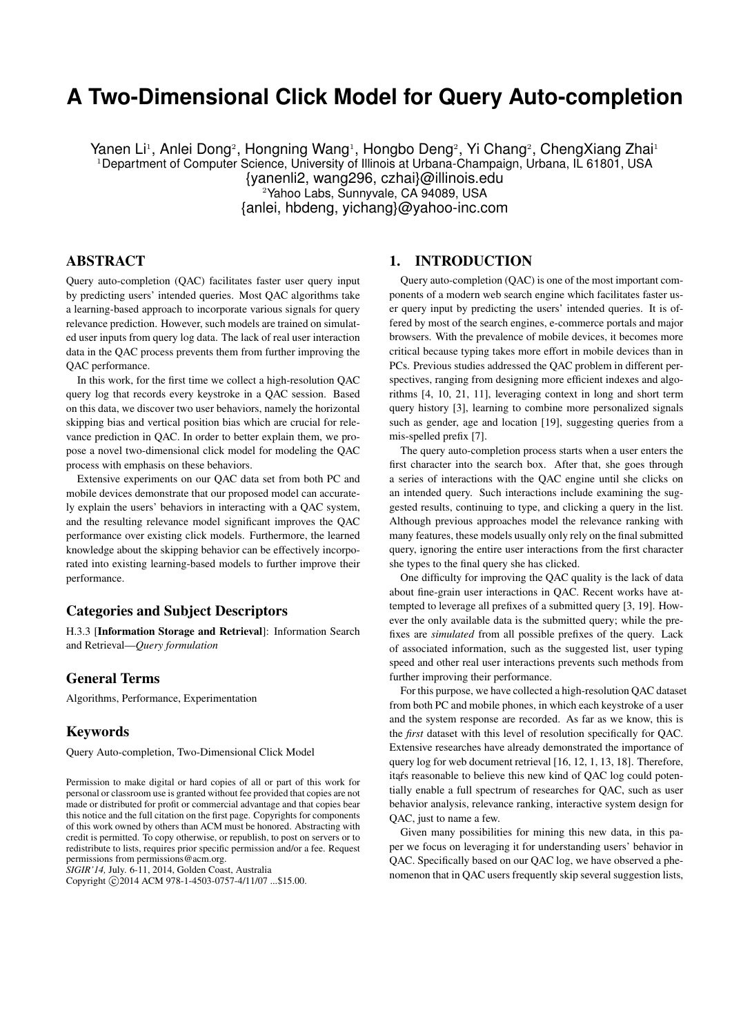# **A Two-Dimensional Click Model for Query Auto-completion**

Yanen Li<sup>1</sup>, Anlei Dong<sup>2</sup>, Hongning Wang<sup>1</sup>, Hongbo Deng<sup>2</sup>, Yi Chang<sup>2</sup>, ChengXiang Zhai<sup>1</sup> <sup>1</sup>Department of Computer Science, University of Illinois at Urbana-Champaign, Urbana, IL 61801, USA {yanenli2, wang296, czhai}@illinois.edu <sup>2</sup>Yahoo Labs, Sunnyvale, CA 94089, USA {anlei, hbdeng, yichang}@yahoo-inc.com

# ABSTRACT

Query auto-completion (QAC) facilitates faster user query input by predicting users' intended queries. Most QAC algorithms take a learning-based approach to incorporate various signals for query relevance prediction. However, such models are trained on simulated user inputs from query log data. The lack of real user interaction data in the QAC process prevents them from further improving the QAC performance.

In this work, for the first time we collect a high-resolution QAC query log that records every keystroke in a QAC session. Based on this data, we discover two user behaviors, namely the horizontal skipping bias and vertical position bias which are crucial for relevance prediction in QAC. In order to better explain them, we propose a novel two-dimensional click model for modeling the QAC process with emphasis on these behaviors.

Extensive experiments on our QAC data set from both PC and mobile devices demonstrate that our proposed model can accurately explain the users' behaviors in interacting with a QAC system, and the resulting relevance model significant improves the QAC performance over existing click models. Furthermore, the learned knowledge about the skipping behavior can be effectively incorporated into existing learning-based models to further improve their performance.

# Categories and Subject Descriptors

H.3.3 [Information Storage and Retrieval]: Information Search and Retrieval—*Query formulation*

#### General Terms

Algorithms, Performance, Experimentation

#### Keywords

Query Auto-completion, Two-Dimensional Click Model

*SIGIR'14,* July. 6-11, 2014, Golden Coast, Australia

Copyright © 2014 ACM 978-1-4503-0757-4/11/07 ...\$15.00.

#### 1. INTRODUCTION

Query auto-completion (QAC) is one of the most important components of a modern web search engine which facilitates faster user query input by predicting the users' intended queries. It is offered by most of the search engines, e-commerce portals and major browsers. With the prevalence of mobile devices, it becomes more critical because typing takes more effort in mobile devices than in PCs. Previous studies addressed the QAC problem in different perspectives, ranging from designing more efficient indexes and algorithms [4, 10, 21, 11], leveraging context in long and short term query history [3], learning to combine more personalized signals such as gender, age and location [19], suggesting queries from a mis-spelled prefix [7].

The query auto-completion process starts when a user enters the first character into the search box. After that, she goes through a series of interactions with the QAC engine until she clicks on an intended query. Such interactions include examining the suggested results, continuing to type, and clicking a query in the list. Although previous approaches model the relevance ranking with many features, these models usually only rely on the final submitted query, ignoring the entire user interactions from the first character she types to the final query she has clicked.

One difficulty for improving the QAC quality is the lack of data about fine-grain user interactions in QAC. Recent works have attempted to leverage all prefixes of a submitted query [3, 19]. However the only available data is the submitted query; while the prefixes are *simulated* from all possible prefixes of the query. Lack of associated information, such as the suggested list, user typing speed and other real user interactions prevents such methods from further improving their performance.

For this purpose, we have collected a high-resolution QAC dataset from both PC and mobile phones, in which each keystroke of a user and the system response are recorded. As far as we know, this is the *first* dataset with this level of resolution specifically for QAC. Extensive researches have already demonstrated the importance of query log for web document retrieval [16, 12, 1, 13, 18]. Therefore, itars reasonable to believe this new kind of QAC log could potentially enable a full spectrum of researches for QAC, such as user behavior analysis, relevance ranking, interactive system design for QAC, just to name a few.

Given many possibilities for mining this new data, in this paper we focus on leveraging it for understanding users' behavior in QAC. Specifically based on our QAC log, we have observed a phenomenon that in QAC users frequently skip several suggestion lists,

Permission to make digital or hard copies of all or part of this work for personal or classroom use is granted without fee provided that copies are not made or distributed for profit or commercial advantage and that copies bear this notice and the full citation on the first page. Copyrights for components of this work owned by others than ACM must be honored. Abstracting with credit is permitted. To copy otherwise, or republish, to post on servers or to redistribute to lists, requires prior specific permission and/or a fee. Request permissions from permissions@acm.org.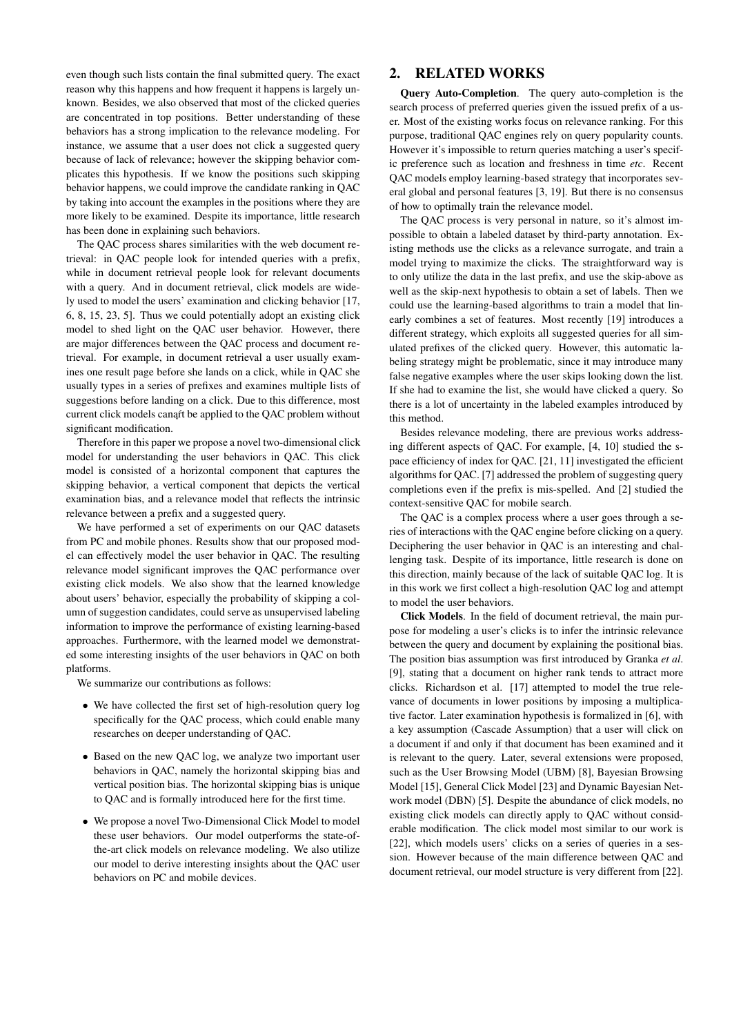even though such lists contain the final submitted query. The exact reason why this happens and how frequent it happens is largely unknown. Besides, we also observed that most of the clicked queries are concentrated in top positions. Better understanding of these behaviors has a strong implication to the relevance modeling. For instance, we assume that a user does not click a suggested query because of lack of relevance; however the skipping behavior complicates this hypothesis. If we know the positions such skipping behavior happens, we could improve the candidate ranking in QAC by taking into account the examples in the positions where they are more likely to be examined. Despite its importance, little research has been done in explaining such behaviors.

The QAC process shares similarities with the web document retrieval: in QAC people look for intended queries with a prefix, while in document retrieval people look for relevant documents with a query. And in document retrieval, click models are widely used to model the users' examination and clicking behavior [17, 6, 8, 15, 23, 5]. Thus we could potentially adopt an existing click model to shed light on the QAC user behavior. However, there are major differences between the QAC process and document retrieval. For example, in document retrieval a user usually examines one result page before she lands on a click, while in QAC she usually types in a series of prefixes and examines multiple lists of suggestions before landing on a click. Due to this difference, most current click models canart be applied to the OAC problem without significant modification.

Therefore in this paper we propose a novel two-dimensional click model for understanding the user behaviors in QAC. This click model is consisted of a horizontal component that captures the skipping behavior, a vertical component that depicts the vertical examination bias, and a relevance model that reflects the intrinsic relevance between a prefix and a suggested query.

We have performed a set of experiments on our QAC datasets from PC and mobile phones. Results show that our proposed model can effectively model the user behavior in QAC. The resulting relevance model significant improves the QAC performance over existing click models. We also show that the learned knowledge about users' behavior, especially the probability of skipping a column of suggestion candidates, could serve as unsupervised labeling information to improve the performance of existing learning-based approaches. Furthermore, with the learned model we demonstrated some interesting insights of the user behaviors in QAC on both platforms.

We summarize our contributions as follows:

- We have collected the first set of high-resolution query log specifically for the QAC process, which could enable many researches on deeper understanding of QAC.
- Based on the new QAC log, we analyze two important user behaviors in QAC, namely the horizontal skipping bias and vertical position bias. The horizontal skipping bias is unique to QAC and is formally introduced here for the first time.
- We propose a novel Two-Dimensional Click Model to model these user behaviors. Our model outperforms the state-ofthe-art click models on relevance modeling. We also utilize our model to derive interesting insights about the QAC user behaviors on PC and mobile devices.

# 2. RELATED WORKS

Query Auto-Completion. The query auto-completion is the search process of preferred queries given the issued prefix of a user. Most of the existing works focus on relevance ranking. For this purpose, traditional QAC engines rely on query popularity counts. However it's impossible to return queries matching a user's specific preference such as location and freshness in time *etc*. Recent QAC models employ learning-based strategy that incorporates several global and personal features [3, 19]. But there is no consensus of how to optimally train the relevance model.

The QAC process is very personal in nature, so it's almost impossible to obtain a labeled dataset by third-party annotation. Existing methods use the clicks as a relevance surrogate, and train a model trying to maximize the clicks. The straightforward way is to only utilize the data in the last prefix, and use the skip-above as well as the skip-next hypothesis to obtain a set of labels. Then we could use the learning-based algorithms to train a model that linearly combines a set of features. Most recently [19] introduces a different strategy, which exploits all suggested queries for all simulated prefixes of the clicked query. However, this automatic labeling strategy might be problematic, since it may introduce many false negative examples where the user skips looking down the list. If she had to examine the list, she would have clicked a query. So there is a lot of uncertainty in the labeled examples introduced by this method.

Besides relevance modeling, there are previous works addressing different aspects of QAC. For example, [4, 10] studied the space efficiency of index for QAC. [21, 11] investigated the efficient algorithms for QAC. [7] addressed the problem of suggesting query completions even if the prefix is mis-spelled. And [2] studied the context-sensitive QAC for mobile search.

The QAC is a complex process where a user goes through a series of interactions with the QAC engine before clicking on a query. Deciphering the user behavior in QAC is an interesting and challenging task. Despite of its importance, little research is done on this direction, mainly because of the lack of suitable QAC log. It is in this work we first collect a high-resolution QAC log and attempt to model the user behaviors.

Click Models. In the field of document retrieval, the main purpose for modeling a user's clicks is to infer the intrinsic relevance between the query and document by explaining the positional bias. The position bias assumption was first introduced by Granka *et al*. [9], stating that a document on higher rank tends to attract more clicks. Richardson et al. [17] attempted to model the true relevance of documents in lower positions by imposing a multiplicative factor. Later examination hypothesis is formalized in [6], with a key assumption (Cascade Assumption) that a user will click on a document if and only if that document has been examined and it is relevant to the query. Later, several extensions were proposed, such as the User Browsing Model (UBM) [8], Bayesian Browsing Model [15], General Click Model [23] and Dynamic Bayesian Network model (DBN) [5]. Despite the abundance of click models, no existing click models can directly apply to QAC without considerable modification. The click model most similar to our work is [22], which models users' clicks on a series of queries in a session. However because of the main difference between QAC and document retrieval, our model structure is very different from [22].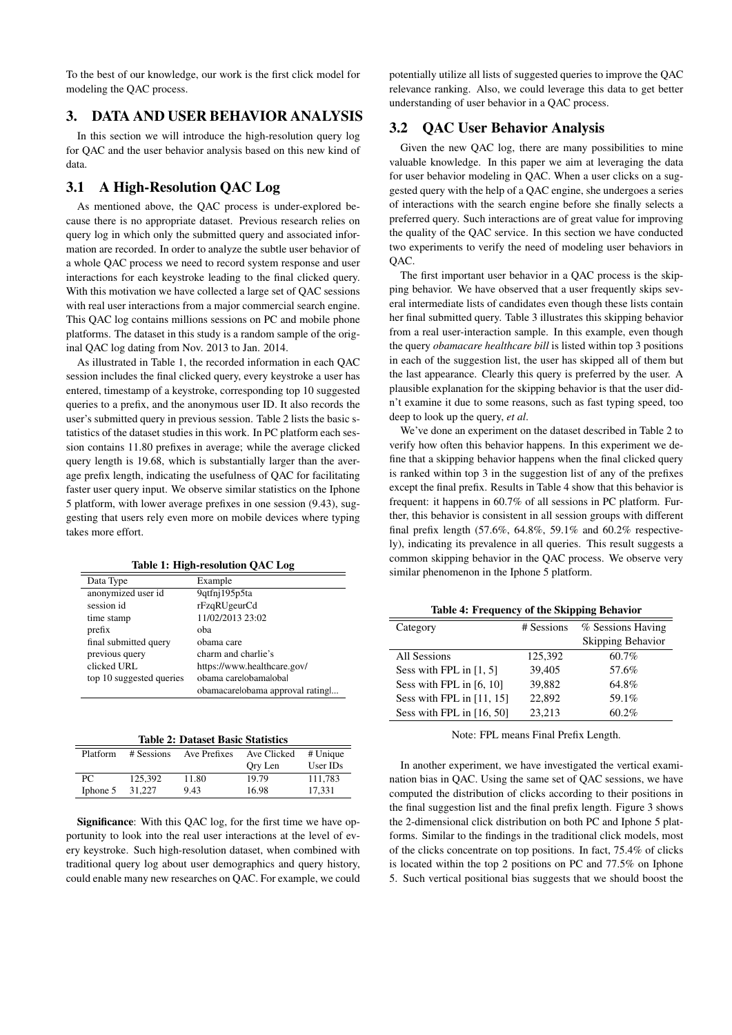To the best of our knowledge, our work is the first click model for modeling the QAC process.

# 3. DATA AND USER BEHAVIOR ANALYSIS

In this section we will introduce the high-resolution query log for QAC and the user behavior analysis based on this new kind of data.

# 3.1 A High-Resolution QAC Log

As mentioned above, the QAC process is under-explored because there is no appropriate dataset. Previous research relies on query log in which only the submitted query and associated information are recorded. In order to analyze the subtle user behavior of a whole QAC process we need to record system response and user interactions for each keystroke leading to the final clicked query. With this motivation we have collected a large set of QAC sessions with real user interactions from a major commercial search engine. This QAC log contains millions sessions on PC and mobile phone platforms. The dataset in this study is a random sample of the original QAC log dating from Nov. 2013 to Jan. 2014.

As illustrated in Table 1, the recorded information in each QAC session includes the final clicked query, every keystroke a user has entered, timestamp of a keystroke, corresponding top 10 suggested queries to a prefix, and the anonymous user ID. It also records the user's submitted query in previous session. Table 2 lists the basic statistics of the dataset studies in this work. In PC platform each session contains 11.80 prefixes in average; while the average clicked query length is 19.68, which is substantially larger than the average prefix length, indicating the usefulness of QAC for facilitating faster user query input. We observe similar statistics on the Iphone 5 platform, with lower average prefixes in one session (9.43), suggesting that users rely even more on mobile devices where typing takes more effort.

|  | Table 1: High-resolution QAC Log |  |  |
|--|----------------------------------|--|--|
|--|----------------------------------|--|--|

| Data Type                | Example                         |
|--------------------------|---------------------------------|
| anonymized user id       | 9qtfnj195p5ta                   |
| session id               | rFzqRUgeurCd                    |
| time stamp               | 11/02/2013 23:02                |
| prefix                   | oba                             |
| final submitted query    | obama care                      |
| previous query           | charm and charlie's             |
| clicked URL              | https://www.healthcare.gov/     |
| top 10 suggested queries | obama carelobamalobal           |
|                          | obamacarelobama approval rating |

|  | <b>Table 2: Dataset Basic Statistics</b> |
|--|------------------------------------------|
|  |                                          |

| Platform | # Sessions | Ave Prefixes | Ave Clicked | # Unique |
|----------|------------|--------------|-------------|----------|
|          |            |              | Ory Len     | User IDs |
| PC       | 125.392    | 11.80        | 19.79       | 111.783  |
| Iphone 5 | 31,227     | 9.43         | 16.98       | 17.331   |

Significance: With this QAC log, for the first time we have opportunity to look into the real user interactions at the level of every keystroke. Such high-resolution dataset, when combined with traditional query log about user demographics and query history, could enable many new researches on QAC. For example, we could

potentially utilize all lists of suggested queries to improve the QAC relevance ranking. Also, we could leverage this data to get better understanding of user behavior in a QAC process.

#### 3.2 QAC User Behavior Analysis

Given the new QAC log, there are many possibilities to mine valuable knowledge. In this paper we aim at leveraging the data for user behavior modeling in QAC. When a user clicks on a suggested query with the help of a QAC engine, she undergoes a series of interactions with the search engine before she finally selects a preferred query. Such interactions are of great value for improving the quality of the QAC service. In this section we have conducted two experiments to verify the need of modeling user behaviors in OAC.

The first important user behavior in a QAC process is the skipping behavior. We have observed that a user frequently skips several intermediate lists of candidates even though these lists contain her final submitted query. Table 3 illustrates this skipping behavior from a real user-interaction sample. In this example, even though the query *obamacare healthcare bill* is listed within top 3 positions in each of the suggestion list, the user has skipped all of them but the last appearance. Clearly this query is preferred by the user. A plausible explanation for the skipping behavior is that the user didn't examine it due to some reasons, such as fast typing speed, too deep to look up the query, *et al*.

We've done an experiment on the dataset described in Table 2 to verify how often this behavior happens. In this experiment we define that a skipping behavior happens when the final clicked query is ranked within top 3 in the suggestion list of any of the prefixes except the final prefix. Results in Table 4 show that this behavior is frequent: it happens in 60.7% of all sessions in PC platform. Further, this behavior is consistent in all session groups with different final prefix length (57.6%, 64.8%, 59.1% and 60.2% respectively), indicating its prevalence in all queries. This result suggests a common skipping behavior in the QAC process. We observe very similar phenomenon in the Iphone 5 platform.

|          | Table 4: Frequency of the Skipping Behavior |                          |
|----------|---------------------------------------------|--------------------------|
| Category | # Sessions                                  | % Sessions Having        |
|          |                                             | <b>Skipping Behavior</b> |

|                             |         | Skipping Behavior |
|-----------------------------|---------|-------------------|
| All Sessions                | 125,392 | 60.7%             |
| Sess with FPL in $[1, 5]$   | 39.405  | 57.6%             |
| Sess with FPL in [6, 10]    | 39.882  | 64.8%             |
| Sess with FPL in $[11, 15]$ | 22.892  | 59.1%             |
| Sess with FPL in $[16, 50]$ | 23.213  | 60.2%             |

Note: FPL means Final Prefix Length.

In another experiment, we have investigated the vertical examination bias in QAC. Using the same set of QAC sessions, we have computed the distribution of clicks according to their positions in the final suggestion list and the final prefix length. Figure 3 shows the 2-dimensional click distribution on both PC and Iphone 5 platforms. Similar to the findings in the traditional click models, most of the clicks concentrate on top positions. In fact, 75.4% of clicks is located within the top 2 positions on PC and 77.5% on Iphone 5. Such vertical positional bias suggests that we should boost the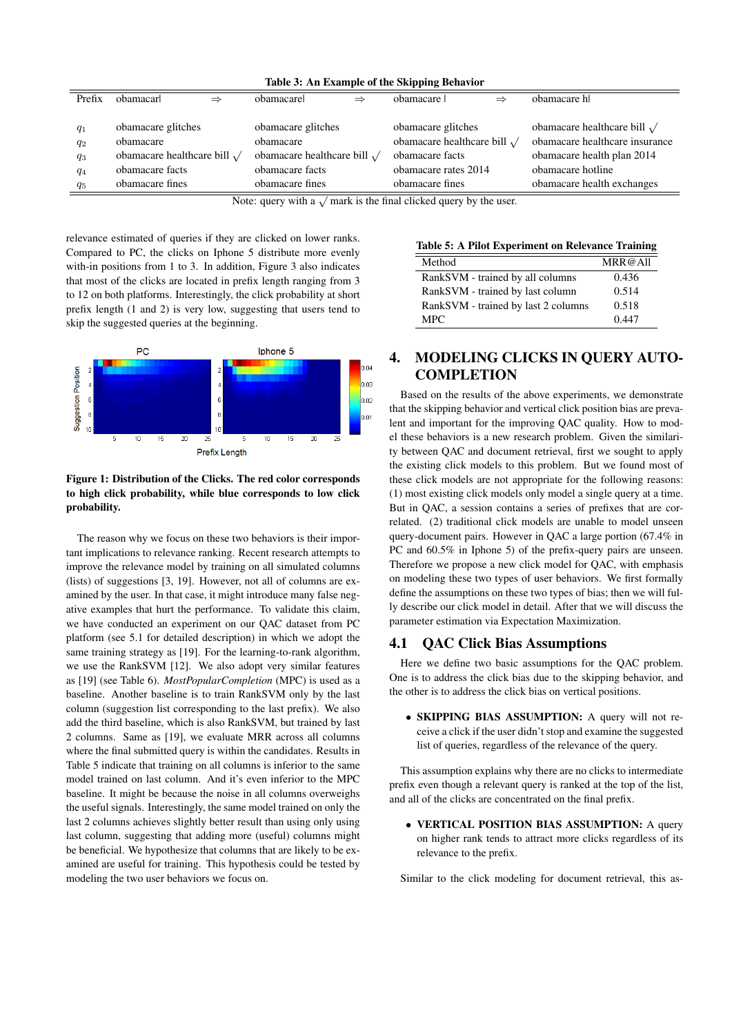| Prefix                                    | obamacarl                                                                                                    | $\Rightarrow$ | obamacarel                                                                                                   | $\Rightarrow$ | obamacare                                                                                                             | $\Rightarrow$ | obamacare hl                                                                                                                                           |
|-------------------------------------------|--------------------------------------------------------------------------------------------------------------|---------------|--------------------------------------------------------------------------------------------------------------|---------------|-----------------------------------------------------------------------------------------------------------------------|---------------|--------------------------------------------------------------------------------------------------------------------------------------------------------|
| $q_1$<br>$q_2$<br>$q_3$<br>$q_4$<br>$q_5$ | obamacare glitches<br>obamacare<br>obamacare healthcare bill $\sqrt{}$<br>obamacare facts<br>obamacare fines |               | obamacare glitches<br>obamacare<br>obamacare healthcare bill $\sqrt{}$<br>obamacare facts<br>obamacare fines |               | obamacare glitches<br>obamacare healthcare bill $\sqrt$<br>obamacare facts<br>obamacare rates 2014<br>obamacare fines |               | obamacare healthcare bill $\sqrt{}$<br>obamacare healthcare insurance<br>obamacare health plan 2014<br>obamacare hotline<br>obamacare health exchanges |
|                                           | Note: query with a $\sqrt{ }$ mark is the final clicked query by the user.                                   |               |                                                                                                              |               |                                                                                                                       |               |                                                                                                                                                        |

#### Table 3: An Example of the Skipping Behavior

relevance estimated of queries if they are clicked on lower ranks. Compared to PC, the clicks on Iphone 5 distribute more evenly with-in positions from 1 to 3. In addition, Figure 3 also indicates that most of the clicks are located in prefix length ranging from 3 to 12 on both platforms. Interestingly, the click probability at short prefix length (1 and 2) is very low, suggesting that users tend to skip the suggested queries at the beginning.



#### Figure 1: Distribution of the Clicks. The red color corresponds to high click probability, while blue corresponds to low click probability.

The reason why we focus on these two behaviors is their important implications to relevance ranking. Recent research attempts to improve the relevance model by training on all simulated columns (lists) of suggestions [3, 19]. However, not all of columns are examined by the user. In that case, it might introduce many false negative examples that hurt the performance. To validate this claim, we have conducted an experiment on our QAC dataset from PC platform (see 5.1 for detailed description) in which we adopt the same training strategy as [19]. For the learning-to-rank algorithm, we use the RankSVM [12]. We also adopt very similar features as [19] (see Table 6). *MostPopularCompletion* (MPC) is used as a baseline. Another baseline is to train RankSVM only by the last column (suggestion list corresponding to the last prefix). We also add the third baseline, which is also RankSVM, but trained by last 2 columns. Same as [19], we evaluate MRR across all columns where the final submitted query is within the candidates. Results in Table 5 indicate that training on all columns is inferior to the same model trained on last column. And it's even inferior to the MPC baseline. It might be because the noise in all columns overweighs the useful signals. Interestingly, the same model trained on only the last 2 columns achieves slightly better result than using only using last column, suggesting that adding more (useful) columns might be beneficial. We hypothesize that columns that are likely to be examined are useful for training. This hypothesis could be tested by modeling the two user behaviors we focus on.

|  |  | Table 5: A Pilot Experiment on Relevance Training |  |  |  |
|--|--|---------------------------------------------------|--|--|--|
|--|--|---------------------------------------------------|--|--|--|

| Method                              | MRR@All |
|-------------------------------------|---------|
| RankSVM - trained by all columns    | 0.436   |
| RankSVM - trained by last column    | 0.514   |
| RankSVM - trained by last 2 columns | 0.518   |
| MPC.                                | 0.447   |
|                                     |         |

# 4. MODELING CLICKS IN QUERY AUTO-**COMPLETION**

Based on the results of the above experiments, we demonstrate that the skipping behavior and vertical click position bias are prevalent and important for the improving QAC quality. How to model these behaviors is a new research problem. Given the similarity between QAC and document retrieval, first we sought to apply the existing click models to this problem. But we found most of these click models are not appropriate for the following reasons: (1) most existing click models only model a single query at a time. But in QAC, a session contains a series of prefixes that are correlated. (2) traditional click models are unable to model unseen query-document pairs. However in QAC a large portion (67.4% in PC and  $60.5\%$  in Iphone 5) of the prefix-query pairs are unseen. Therefore we propose a new click model for QAC, with emphasis on modeling these two types of user behaviors. We first formally define the assumptions on these two types of bias; then we will fully describe our click model in detail. After that we will discuss the parameter estimation via Expectation Maximization.

#### 4.1 QAC Click Bias Assumptions

Here we define two basic assumptions for the QAC problem. One is to address the click bias due to the skipping behavior, and the other is to address the click bias on vertical positions.

• SKIPPING BIAS ASSUMPTION: A query will not receive a click if the user didn't stop and examine the suggested list of queries, regardless of the relevance of the query.

This assumption explains why there are no clicks to intermediate prefix even though a relevant query is ranked at the top of the list, and all of the clicks are concentrated on the final prefix.

• VERTICAL POSITION BIAS ASSUMPTION: A query on higher rank tends to attract more clicks regardless of its relevance to the prefix.

Similar to the click modeling for document retrieval, this as-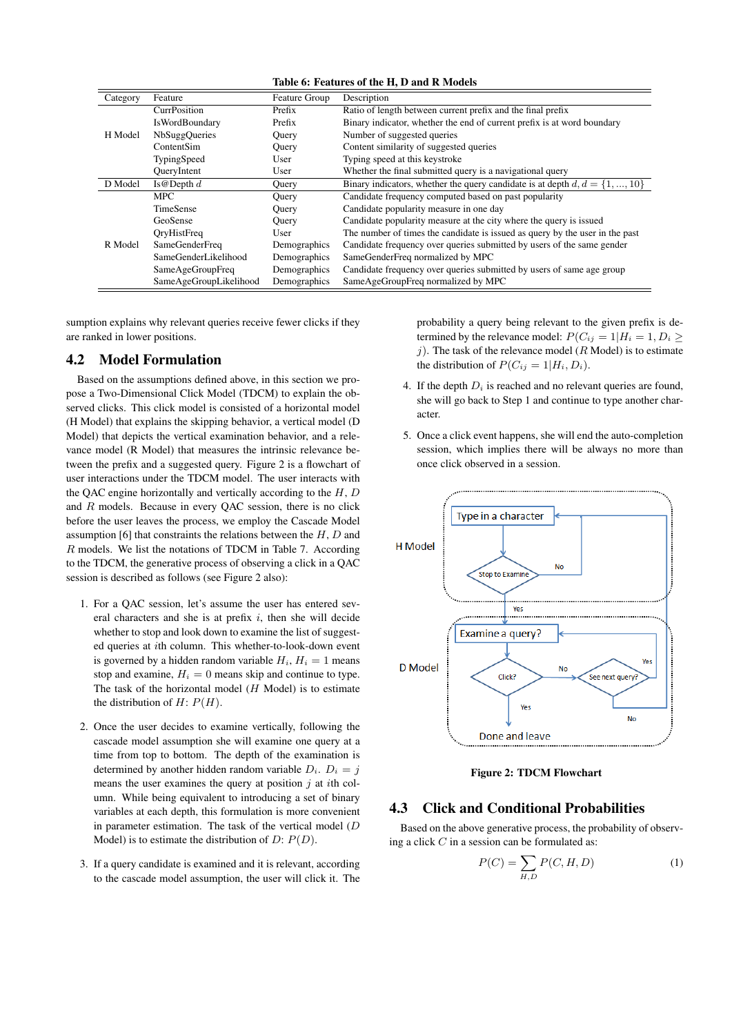| Category | Feature                | Feature Group | Description                                                                     |
|----------|------------------------|---------------|---------------------------------------------------------------------------------|
|          | <b>CurrPosition</b>    | Prefix        | Ratio of length between current prefix and the final prefix                     |
|          | <b>IsWordBoundary</b>  | Prefix        | Binary indicator, whether the end of current prefix is at word boundary         |
| H Model  | <b>NbSuggOueries</b>   | Ouery         | Number of suggested queries                                                     |
|          | ContentSim             | Query         | Content similarity of suggested queries                                         |
|          | TypingSpeed            | User          | Typing speed at this keystroke                                                  |
|          | QueryIntent            | User          | Whether the final submitted query is a navigational query                       |
| D Model  | Is @ Depth $d$         | Query         | Binary indicators, whether the query candidate is at depth $d, d = \{1, , 10\}$ |
|          | <b>MPC</b>             | Query         | Candidate frequency computed based on past popularity                           |
|          | <b>TimeSense</b>       | Query         | Candidate popularity measure in one day                                         |
|          | GeoSense               | Ouery         | Candidate popularity measure at the city where the query is issued              |
|          | OryHistFreq            | User          | The number of times the candidate is issued as query by the user in the past    |
| R Model  | <b>SameGenderFreq</b>  | Demographics  | Candidate frequency over queries submitted by users of the same gender          |
|          | SameGenderLikelihood   | Demographics  | SameGenderFreq normalized by MPC                                                |
|          | SameAgeGroupFreq       | Demographics  | Candidate frequency over queries submitted by users of same age group           |
|          | SameAgeGroupLikelihood | Demographics  | SameAgeGroupFreq normalized by MPC                                              |

sumption explains why relevant queries receive fewer clicks if they are ranked in lower positions.

#### 4.2 Model Formulation

Based on the assumptions defined above, in this section we propose a Two-Dimensional Click Model (TDCM) to explain the observed clicks. This click model is consisted of a horizontal model (H Model) that explains the skipping behavior, a vertical model (D Model) that depicts the vertical examination behavior, and a relevance model (R Model) that measures the intrinsic relevance between the prefix and a suggested query. Figure 2 is a flowchart of user interactions under the TDCM model. The user interacts with the QAC engine horizontally and vertically according to the  $H, D$ and R models. Because in every QAC session, there is no click before the user leaves the process, we employ the Cascade Model assumption [6] that constraints the relations between the  $H, D$  and R models. We list the notations of TDCM in Table 7. According to the TDCM, the generative process of observing a click in a QAC session is described as follows (see Figure 2 also):

- 1. For a QAC session, let's assume the user has entered several characters and she is at prefix  $i$ , then she will decide whether to stop and look down to examine the list of suggested queries at ith column. This whether-to-look-down event is governed by a hidden random variable  $H_i$ ,  $H_i = 1$  means stop and examine,  $H_i = 0$  means skip and continue to type. The task of the horizontal model  $(H \text{ Model})$  is to estimate the distribution of  $H: P(H)$ .
- 2. Once the user decides to examine vertically, following the cascade model assumption she will examine one query at a time from top to bottom. The depth of the examination is determined by another hidden random variable  $D_i$ .  $D_i = j$ means the user examines the query at position  $\dot{\gamma}$  at *i*th column. While being equivalent to introducing a set of binary variables at each depth, this formulation is more convenient in parameter estimation. The task of the vertical model (D Model) is to estimate the distribution of  $D: P(D)$ .
- 3. If a query candidate is examined and it is relevant, according to the cascade model assumption, the user will click it. The

probability a query being relevant to the given prefix is determined by the relevance model:  $P(C_{ij} = 1 | H_i = 1, D_i \geq 1)$ j). The task of the relevance model ( $R$  Model) is to estimate the distribution of  $P(C_{ij} = 1|H_i, D_i)$ .

- 4. If the depth  $D_i$  is reached and no relevant queries are found, she will go back to Step 1 and continue to type another character.
- 5. Once a click event happens, she will end the auto-completion session, which implies there will be always no more than once click observed in a session.



Figure 2: TDCM Flowchart

#### 4.3 Click and Conditional Probabilities

Based on the above generative process, the probability of observing a click  $C$  in a session can be formulated as:

$$
P(C) = \sum_{H,D} P(C, H, D) \tag{1}
$$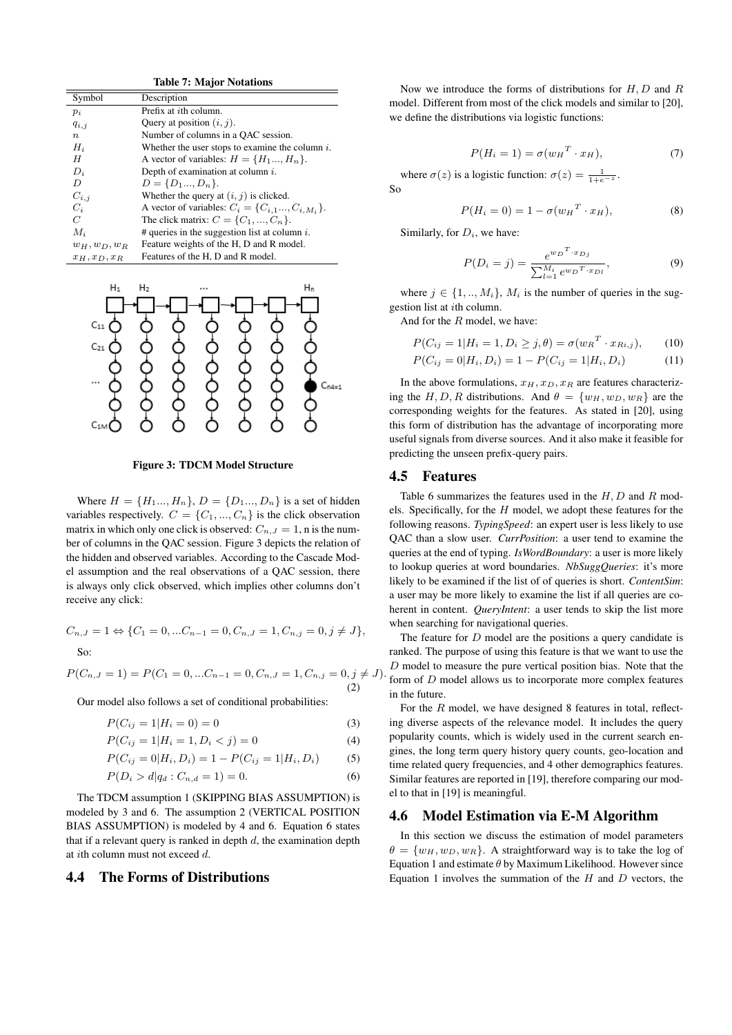|                  | Table 7: Major Notations                               |
|------------------|--------------------------------------------------------|
| Symbol           | Description                                            |
| $p_i$            | Prefix at <i>i</i> th column.                          |
| $q_{i,j}$        | Query at position $(i, j)$ .                           |
| $\boldsymbol{n}$ | Number of columns in a QAC session.                    |
| $H_i$            | Whether the user stops to examine the column $i$ .     |
| H                | A vector of variables: $H = \{H_1, , H_n\}.$           |
| $D_i$            | Depth of examination at column $i$ .                   |
| D                | $D = \{D_1, D_n\}.$                                    |
| $C_{i,i}$        | Whether the query at $(i, j)$ is clicked.              |
| $C_i$            | A vector of variables: $C_i = \{C_{i,1}, C_{i,M_i}\}.$ |
| C                | The click matrix: $C = \{C_1, , C_n\}$ .               |
| $M_i$            | # queries in the suggestion list at column $i$ .       |
| $w_H, w_D, w_B$  | Feature weights of the H, D and R model.               |
| $x_H, x_D, x_B$  | Features of the H, D and R model.                      |

 $T_{\rm max} = T_{\rm max}$   $T_{\rm max}$ 



Figure 3: TDCM Model Structure

Where  $H = \{H_1, H_n\}$ ,  $D = \{D_1, H_n\}$  is a set of hidden variables respectively.  $C = \{C_1, ..., C_n\}$  is the click observation matrix in which only one click is observed:  $C_{n,J} = 1$ , n is the number of columns in the QAC session. Figure 3 depicts the relation of the hidden and observed variables. According to the Cascade Model assumption and the real observations of a QAC session, there is always only click observed, which implies other columns don't receive any click:

$$
C_{n,J} = 1 \Leftrightarrow \{C_1 = 0, \dots C_{n-1} = 0, C_{n,J} = 1, C_{n,j} = 0, j \neq J\},\
$$
  
So:

$$
P(C_{n,J}=1) = P(C_1 = 0, ...C_{n-1} = 0, C_{n,J} = 1, C_{n,j} = 0, j \neq J).
$$
\n(2)

Our model also follows a set of conditional probabilities:

$$
P(C_{ij} = 1 | H_i = 0) = 0 \tag{3}
$$

$$
P(C_{ij} = 1 | H_i = 1, D_i < j) = 0 \tag{4}
$$

$$
P(C_{ij} = 0|H_i, D_i) = 1 - P(C_{ij} = 1|H_i, D_i)
$$
 (5)

$$
P(D_i > d | q_d : C_{n,d} = 1) = 0.
$$
\n<sup>(6)</sup>

The TDCM assumption 1 (SKIPPING BIAS ASSUMPTION) is modeled by 3 and 6. The assumption 2 (VERTICAL POSITION BIAS ASSUMPTION) is modeled by 4 and 6. Equation 6 states that if a relevant query is ranked in depth  $d$ , the examination depth at ith column must not exceed d.

#### 4.4 The Forms of Distributions

Now we introduce the forms of distributions for  $H, D$  and  $R$ model. Different from most of the click models and similar to [20], we define the distributions via logistic functions:

$$
P(H_i = 1) = \sigma(w_H^T \cdot x_H),\tag{7}
$$

where  $\sigma(z)$  is a logistic function:  $\sigma(z) = \frac{1}{1 + e^{-z}}$ . So

$$
P(H_i = 0) = 1 - \sigma(w_H^T \cdot x_H), \tag{8}
$$

Similarly, for  $D_i$ , we have:

$$
P(D_i = j) = \frac{e^{w_D^T \cdot x_{Dj}}}{\sum_{l=1}^{M_i} e^{w_D^T \cdot x_{Dl}}},
$$
\n(9)

where  $j \in \{1, ..., M_i\}$ ,  $M_i$  is the number of queries in the suggestion list at ith column.

And for the  $R$  model, we have:

$$
P(C_{ij} = 1 | H_i = 1, D_i \ge j, \theta) = \sigma(w_R^T \cdot x_{Ri,j}), \qquad (10)
$$
  

$$
P(C_{ij} = 0 | H_i, D_i) = 1 - P(C_{ij} = 1 | H_i, D_i)
$$
 (11)

In the above formulations,  $x_H$ ,  $x_D$ ,  $x_R$  are features characterizing the H, D, R distributions. And  $\theta = \{w_H, w_D, w_R\}$  are the corresponding weights for the features. As stated in [20], using this form of distribution has the advantage of incorporating more useful signals from diverse sources. And it also make it feasible for predicting the unseen prefix-query pairs.

#### 4.5 Features

Table 6 summarizes the features used in the  $H, D$  and  $R$  models. Specifically, for the  $H$  model, we adopt these features for the following reasons. *TypingSpeed*: an expert user is less likely to use QAC than a slow user. *CurrPosition*: a user tend to examine the queries at the end of typing. *IsWordBoundary*: a user is more likely to lookup queries at word boundaries. *NbSuggQueries*: it's more likely to be examined if the list of of queries is short. *ContentSim*: a user may be more likely to examine the list if all queries are coherent in content. *QueryIntent*: a user tends to skip the list more when searching for navigational queries.

The feature for  $D$  model are the positions a query candidate is ranked. The purpose of using this feature is that we want to use the  $D$  model to measure the pure vertical position bias. Note that the form of D model allows us to incorporate more complex features in the future.

For the  $R$  model, we have designed 8 features in total, reflecting diverse aspects of the relevance model. It includes the query popularity counts, which is widely used in the current search engines, the long term query history query counts, geo-location and time related query frequencies, and 4 other demographics features. Similar features are reported in [19], therefore comparing our model to that in [19] is meaningful.

#### 4.6 Model Estimation via E-M Algorithm

In this section we discuss the estimation of model parameters  $\theta = \{w_H, w_D, w_R\}$ . A straightforward way is to take the log of Equation 1 and estimate  $\theta$  by Maximum Likelihood. However since Equation 1 involves the summation of the  $H$  and  $D$  vectors, the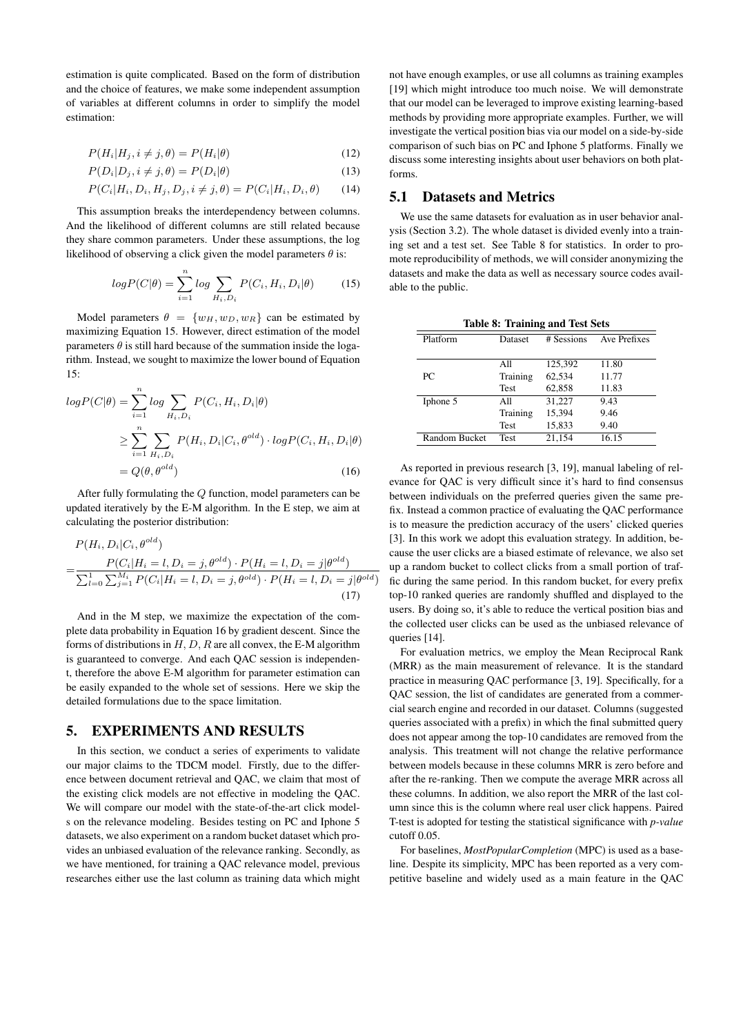estimation is quite complicated. Based on the form of distribution and the choice of features, we make some independent assumption of variables at different columns in order to simplify the model estimation:

$$
P(H_i|H_j, i \neq j, \theta) = P(H_i|\theta)
$$
\n(12)

$$
P(D_i|D_j, i \neq j, \theta) = P(D_i|\theta)
$$
\n(13)

$$
P(C_i|H_i, D_i, H_j, D_j, i \neq j, \theta) = P(C_i|H_i, D_i, \theta)
$$
 (14)

This assumption breaks the interdependency between columns. And the likelihood of different columns are still related because they share common parameters. Under these assumptions, the log likelihood of observing a click given the model parameters  $\theta$  is:

$$
log P(C|\theta) = \sum_{i=1}^{n} log \sum_{H_i, D_i} P(C_i, H_i, D_i|\theta)
$$
 (15)

Model parameters  $\theta = \{w_H, w_D, w_R\}$  can be estimated by maximizing Equation 15. However, direct estimation of the model parameters  $\theta$  is still hard because of the summation inside the logarithm. Instead, we sought to maximize the lower bound of Equation 15:

$$
logP(C|\theta) = \sum_{i=1}^{n} log \sum_{H_i, D_i} P(C_i, H_i, D_i|\theta)
$$
  
\n
$$
\geq \sum_{i=1}^{n} \sum_{H_i, D_i} P(H_i, D_i|C_i, \theta^{old}) \cdot logP(C_i, H_i, D_i|\theta)
$$
  
\n
$$
= Q(\theta, \theta^{old})
$$
 (16)

After fully formulating the Q function, model parameters can be updated iteratively by the E-M algorithm. In the E step, we aim at calculating the posterior distribution:

$$
P(H_i, D_i | C_i, \theta^{old})
$$
  
= 
$$
\frac{P(C_i | H_i = l, D_i = j, \theta^{old}) \cdot P(H_i = l, D_i = j | \theta^{old})}{\sum_{l=0}^{1} \sum_{j=1}^{M_i} P(C_i | H_i = l, D_i = j, \theta^{old}) \cdot P(H_i = l, D_i = j | \theta^{old})}
$$
(17)

And in the M step, we maximize the expectation of the complete data probability in Equation 16 by gradient descent. Since the forms of distributions in  $H, D, R$  are all convex, the E-M algorithm is guaranteed to converge. And each QAC session is independent, therefore the above E-M algorithm for parameter estimation can be easily expanded to the whole set of sessions. Here we skip the detailed formulations due to the space limitation.

# 5. EXPERIMENTS AND RESULTS

In this section, we conduct a series of experiments to validate our major claims to the TDCM model. Firstly, due to the difference between document retrieval and QAC, we claim that most of the existing click models are not effective in modeling the QAC. We will compare our model with the state-of-the-art click models on the relevance modeling. Besides testing on PC and Iphone 5 datasets, we also experiment on a random bucket dataset which provides an unbiased evaluation of the relevance ranking. Secondly, as we have mentioned, for training a QAC relevance model, previous researches either use the last column as training data which might

not have enough examples, or use all columns as training examples [19] which might introduce too much noise. We will demonstrate that our model can be leveraged to improve existing learning-based methods by providing more appropriate examples. Further, we will investigate the vertical position bias via our model on a side-by-side comparison of such bias on PC and Iphone 5 platforms. Finally we discuss some interesting insights about user behaviors on both platforms.

# 5.1 Datasets and Metrics

We use the same datasets for evaluation as in user behavior analysis (Section 3.2). The whole dataset is divided evenly into a training set and a test set. See Table 8 for statistics. In order to promote reproducibility of methods, we will consider anonymizing the datasets and make the data as well as necessary source codes available to the public.

| <b>Table 8: Training and Test Sets</b> |             |            |              |  |
|----------------------------------------|-------------|------------|--------------|--|
| Platform                               | Dataset     | # Sessions | Ave Prefixes |  |
|                                        |             |            |              |  |
|                                        | All         | 125.392    | 11.80        |  |
| PC                                     | Training    | 62,534     | 11.77        |  |
|                                        | <b>Test</b> | 62,858     | 11.83        |  |
| Iphone 5                               | A11         | 31,227     | 9.43         |  |
|                                        | Training    | 15,394     | 9.46         |  |
|                                        | <b>Test</b> | 15,833     | 9.40         |  |
| Random Bucket                          | <b>Test</b> | 21.154     | 16.15        |  |

As reported in previous research [3, 19], manual labeling of relevance for QAC is very difficult since it's hard to find consensus between individuals on the preferred queries given the same prefix. Instead a common practice of evaluating the QAC performance is to measure the prediction accuracy of the users' clicked queries [3]. In this work we adopt this evaluation strategy. In addition, because the user clicks are a biased estimate of relevance, we also set up a random bucket to collect clicks from a small portion of traffic during the same period. In this random bucket, for every prefix top-10 ranked queries are randomly shuffled and displayed to the users. By doing so, it's able to reduce the vertical position bias and the collected user clicks can be used as the unbiased relevance of queries [14].

For evaluation metrics, we employ the Mean Reciprocal Rank (MRR) as the main measurement of relevance. It is the standard practice in measuring QAC performance [3, 19]. Specifically, for a QAC session, the list of candidates are generated from a commercial search engine and recorded in our dataset. Columns (suggested queries associated with a prefix) in which the final submitted query does not appear among the top-10 candidates are removed from the analysis. This treatment will not change the relative performance between models because in these columns MRR is zero before and after the re-ranking. Then we compute the average MRR across all these columns. In addition, we also report the MRR of the last column since this is the column where real user click happens. Paired T-test is adopted for testing the statistical significance with *p-value* cutoff 0.05.

For baselines, *MostPopularCompletion* (MPC) is used as a baseline. Despite its simplicity, MPC has been reported as a very competitive baseline and widely used as a main feature in the QAC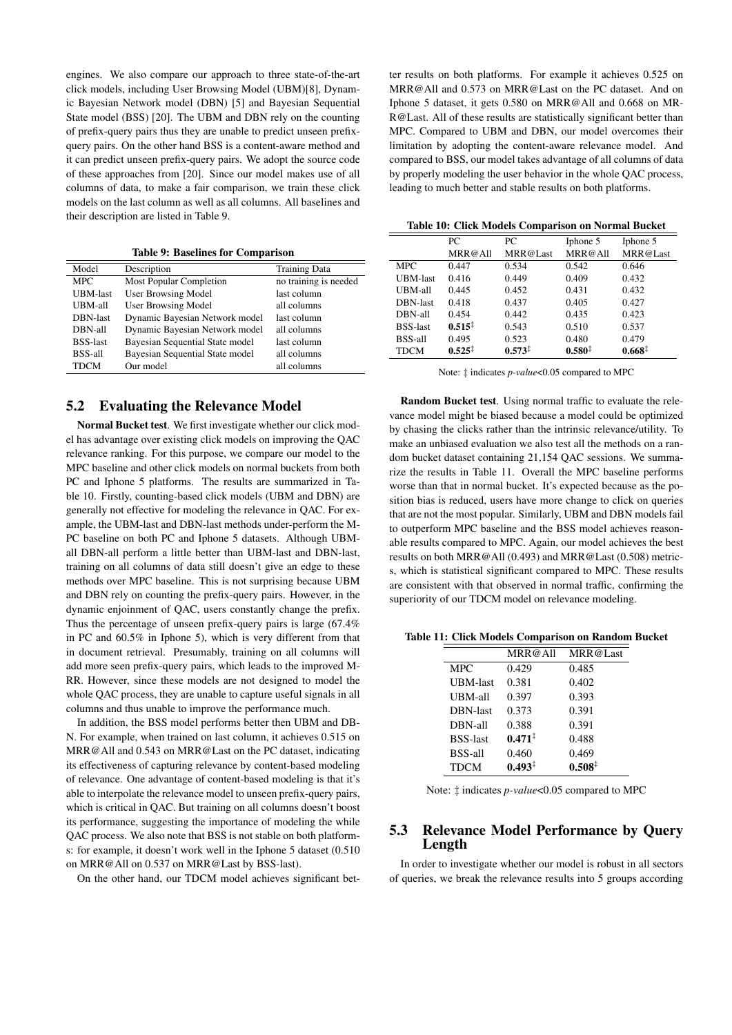engines. We also compare our approach to three state-of-the-art click models, including User Browsing Model (UBM)[8], Dynamic Bayesian Network model (DBN) [5] and Bayesian Sequential State model (BSS) [20]. The UBM and DBN rely on the counting of prefix-query pairs thus they are unable to predict unseen prefixquery pairs. On the other hand BSS is a content-aware method and it can predict unseen prefix-query pairs. We adopt the source code of these approaches from [20]. Since our model makes use of all columns of data, to make a fair comparison, we train these click models on the last column as well as all columns. All baselines and their description are listed in Table 9.

Table 9: Baselines for Comparison

| Model           | Description                     | <b>Training Data</b>  |
|-----------------|---------------------------------|-----------------------|
| <b>MPC</b>      | <b>Most Popular Completion</b>  | no training is needed |
| <b>UBM-last</b> | <b>User Browsing Model</b>      | last column           |
| UBM-all         | <b>User Browsing Model</b>      | all columns           |
| DBN-last        | Dynamic Bayesian Network model  | last column           |
| DBN-all         | Dynamic Bayesian Network model  | all columns           |
| <b>BSS-last</b> | Bayesian Sequential State model | last column           |
| BSS-all         | Bayesian Sequential State model | all columns           |
| <b>TDCM</b>     | Our model                       | all columns           |

#### 5.2 Evaluating the Relevance Model

Normal Bucket test. We first investigate whether our click model has advantage over existing click models on improving the QAC relevance ranking. For this purpose, we compare our model to the MPC baseline and other click models on normal buckets from both PC and Iphone 5 platforms. The results are summarized in Table 10. Firstly, counting-based click models (UBM and DBN) are generally not effective for modeling the relevance in QAC. For example, the UBM-last and DBN-last methods under-perform the M-PC baseline on both PC and Iphone 5 datasets. Although UBMall DBN-all perform a little better than UBM-last and DBN-last, training on all columns of data still doesn't give an edge to these methods over MPC baseline. This is not surprising because UBM and DBN rely on counting the prefix-query pairs. However, in the dynamic enjoinment of QAC, users constantly change the prefix. Thus the percentage of unseen prefix-query pairs is large (67.4% in PC and 60.5% in Iphone 5), which is very different from that in document retrieval. Presumably, training on all columns will add more seen prefix-query pairs, which leads to the improved M-RR. However, since these models are not designed to model the whole QAC process, they are unable to capture useful signals in all columns and thus unable to improve the performance much.

In addition, the BSS model performs better then UBM and DB-N. For example, when trained on last column, it achieves 0.515 on MRR@All and 0.543 on MRR@Last on the PC dataset, indicating its effectiveness of capturing relevance by content-based modeling of relevance. One advantage of content-based modeling is that it's able to interpolate the relevance model to unseen prefix-query pairs, which is critical in QAC. But training on all columns doesn't boost its performance, suggesting the importance of modeling the while QAC process. We also note that BSS is not stable on both platforms: for example, it doesn't work well in the Iphone 5 dataset (0.510 on MRR@All on 0.537 on MRR@Last by BSS-last).

On the other hand, our TDCM model achieves significant bet-

ter results on both platforms. For example it achieves 0.525 on MRR@All and 0.573 on MRR@Last on the PC dataset. And on Iphone 5 dataset, it gets 0.580 on MRR@All and 0.668 on MR-R@Last. All of these results are statistically significant better than MPC. Compared to UBM and DBN, our model overcomes their limitation by adopting the content-aware relevance model. And compared to BSS, our model takes advantage of all columns of data by properly modeling the user behavior in the whole QAC process, leading to much better and stable results on both platforms.

Table 10: Click Models Comparison on Normal Bucket

|                 | PC.                | PС                 | Iphone 5           | Iphone 5           |
|-----------------|--------------------|--------------------|--------------------|--------------------|
|                 | MRR@All            | MRR@Last           | MRR@All            | MRR@Last           |
| <b>MPC</b>      | 0.447              | 0.534              | 0.542              | 0.646              |
| <b>UBM-last</b> | 0.416              | 0.449              | 0.409              | 0.432              |
| UBM-all         | 0.445              | 0.452              | 0.431              | 0.432              |
| DBN-last        | 0.418              | 0.437              | 0.405              | 0.427              |
| DBN-all         | 0.454              | 0.442              | 0.435              | 0.423              |
| <b>BSS-last</b> | $0.515^{\ddagger}$ | 0.543              | 0.510              | 0.537              |
| <b>BSS-all</b>  | 0.495              | 0.523              | 0.480              | 0.479              |
| <b>TDCM</b>     | $0.525^{\ddagger}$ | $0.573^{\ddagger}$ | $0.580^{\ddagger}$ | $0.668^{\ddagger}$ |

Note: ‡ indicates *p-value*<0.05 compared to MPC

Random Bucket test. Using normal traffic to evaluate the relevance model might be biased because a model could be optimized by chasing the clicks rather than the intrinsic relevance/utility. To make an unbiased evaluation we also test all the methods on a random bucket dataset containing 21,154 QAC sessions. We summarize the results in Table 11. Overall the MPC baseline performs worse than that in normal bucket. It's expected because as the position bias is reduced, users have more change to click on queries that are not the most popular. Similarly, UBM and DBN models fail to outperform MPC baseline and the BSS model achieves reasonable results compared to MPC. Again, our model achieves the best results on both MRR@All (0.493) and MRR@Last (0.508) metrics, which is statistical significant compared to MPC. These results are consistent with that observed in normal traffic, confirming the superiority of our TDCM model on relevance modeling.

Table 11: Click Models Comparison on Random Bucket

|                 | MRR@All            | MRR@Last           |
|-----------------|--------------------|--------------------|
| <b>MPC</b>      | 0.429              | 0.485              |
| <b>UBM-last</b> | 0.381              | 0.402              |
| UBM-all         | 0.397              | 0.393              |
| DBN-last        | 0.373              | 0.391              |
| DBN-all         | 0.388              | 0.391              |
| <b>BSS-last</b> | $0.471^{\ddagger}$ | 0.488              |
| <b>BSS-all</b>  | 0.460              | 0.469              |
| <b>TDCM</b>     | $0.493^{\ddagger}$ | $0.508^{\ddagger}$ |

Note: ‡ indicates *p-value*<0.05 compared to MPC

# 5.3 Relevance Model Performance by Query Length

In order to investigate whether our model is robust in all sectors of queries, we break the relevance results into 5 groups according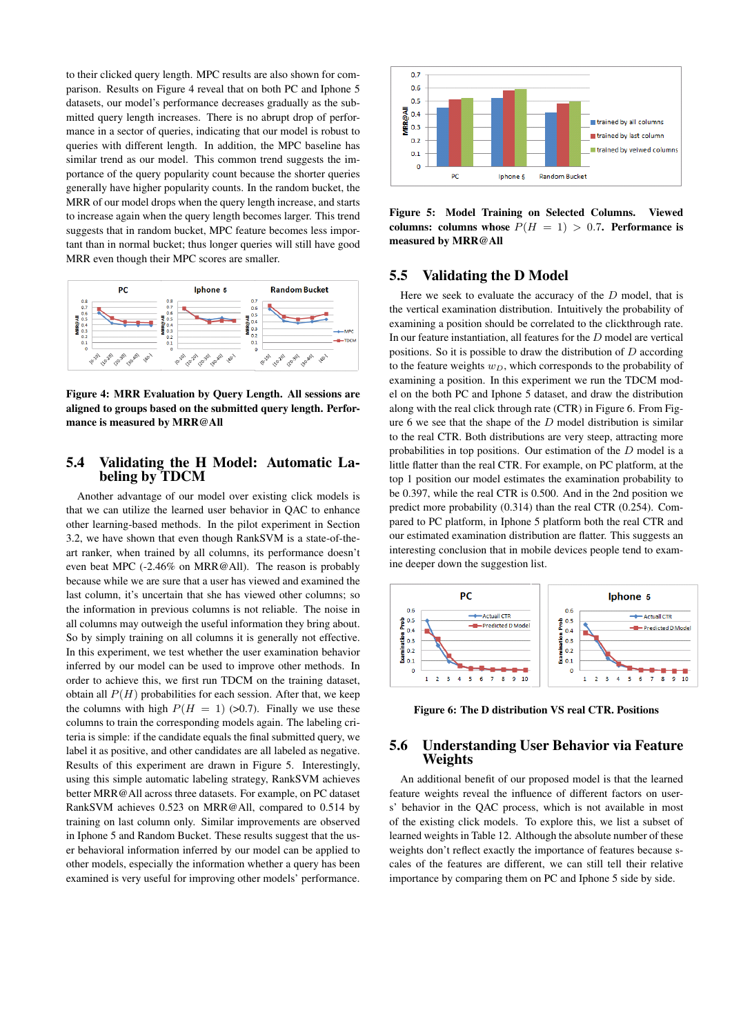to their clicked query length. MPC results are also shown for comparison. Results on Figure 4 reveal that on both PC and Iphone 5 datasets, our model's performance decreases gradually as the submitted query length increases. There is no abrupt drop of performance in a sector of queries, indicating that our model is robust to queries with different length. In addition, the MPC baseline has similar trend as our model. This common trend suggests the importance of the query popularity count because the shorter queries generally have higher popularity counts. In the random bucket, the MRR of our model drops when the query length increase, and starts to increase again when the query length becomes larger. This trend suggests that in random bucket, MPC feature becomes less important than in normal bucket; thus longer queries will still have good MRR even though their MPC scores are smaller.



Figure 4: MRR Evaluation by Query Length. All sessions are aligned to groups based on the submitted query length. Performance is measured by MRR@All

# 5.4 Validating the H Model: Automatic Labeling by TDCM

Another advantage of our model over existing click models is that we can utilize the learned user behavior in QAC to enhance other learning-based methods. In the pilot experiment in Section 3.2, we have shown that even though RankSVM is a state-of-theart ranker, when trained by all columns, its performance doesn't even beat MPC (-2.46% on MRR@All). The reason is probably because while we are sure that a user has viewed and examined the last column, it's uncertain that she has viewed other columns; so the information in previous columns is not reliable. The noise in all columns may outweigh the useful information they bring about. So by simply training on all columns it is generally not effective. In this experiment, we test whether the user examination behavior inferred by our model can be used to improve other methods. In order to achieve this, we first run TDCM on the training dataset, obtain all  $P(H)$  probabilities for each session. After that, we keep the columns with high  $P(H = 1)$  (>0.7). Finally we use these columns to train the corresponding models again. The labeling criteria is simple: if the candidate equals the final submitted query, we label it as positive, and other candidates are all labeled as negative. Results of this experiment are drawn in Figure 5. Interestingly, using this simple automatic labeling strategy, RankSVM achieves better MRR@All across three datasets. For example, on PC dataset RankSVM achieves 0.523 on MRR@All, compared to 0.514 by training on last column only. Similar improvements are observed in Iphone 5 and Random Bucket. These results suggest that the user behavioral information inferred by our model can be applied to other models, especially the information whether a query has been examined is very useful for improving other models' performance.



Figure 5: Model Training on Selected Columns. Viewed columns: columns whose  $P(H = 1) > 0.7$ . Performance is measured by MRR@All

#### 5.5 Validating the D Model

Here we seek to evaluate the accuracy of the  $D$  model, that is the vertical examination distribution. Intuitively the probability of examining a position should be correlated to the clickthrough rate. In our feature instantiation, all features for the D model are vertical positions. So it is possible to draw the distribution of D according to the feature weights  $w_D$ , which corresponds to the probability of examining a position. In this experiment we run the TDCM model on the both PC and Iphone 5 dataset, and draw the distribution along with the real click through rate (CTR) in Figure 6. From Figure 6 we see that the shape of the D model distribution is similar to the real CTR. Both distributions are very steep, attracting more probabilities in top positions. Our estimation of the  $D$  model is a little flatter than the real CTR. For example, on PC platform, at the top 1 position our model estimates the examination probability to be 0.397, while the real CTR is 0.500. And in the 2nd position we predict more probability (0.314) than the real CTR (0.254). Compared to PC platform, in Iphone 5 platform both the real CTR and our estimated examination distribution are flatter. This suggests an interesting conclusion that in mobile devices people tend to examine deeper down the suggestion list.



Figure 6: The D distribution VS real CTR. Positions

# 5.6 Understanding User Behavior via Feature Weights

An additional benefit of our proposed model is that the learned feature weights reveal the influence of different factors on users' behavior in the QAC process, which is not available in most of the existing click models. To explore this, we list a subset of learned weights in Table 12. Although the absolute number of these weights don't reflect exactly the importance of features because scales of the features are different, we can still tell their relative importance by comparing them on PC and Iphone 5 side by side.